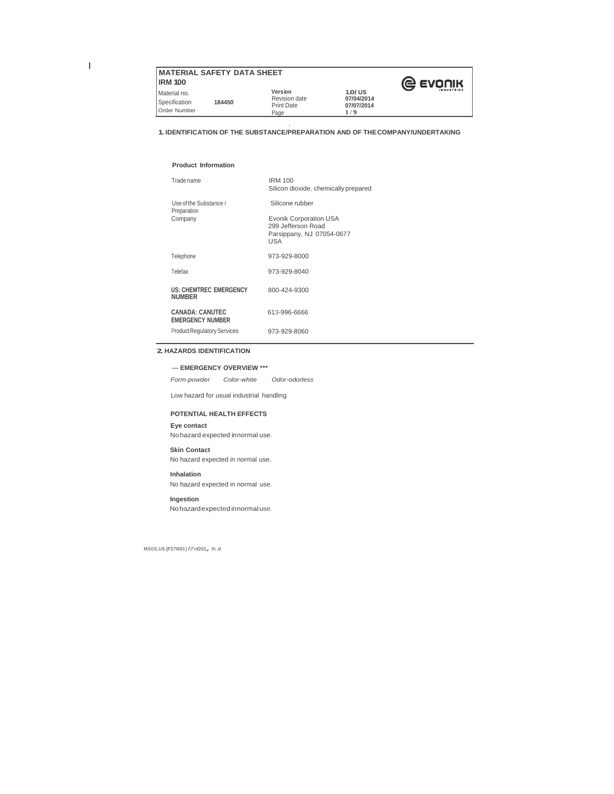| <b>MAICRIAL SAFEII DAIA SHEEI</b><br><b>IRM 100</b> |        |                                                       |                                               | @ EVONIK   |
|-----------------------------------------------------|--------|-------------------------------------------------------|-----------------------------------------------|------------|
| Material no.<br>Specification<br>Order Number       | 184450 | Version<br>Revision date<br><b>Print Date</b><br>Page | $1.0 /$ US<br>07/04/2014<br>07/07/2014<br>1/9 | INDUSTRIES |

I **1. IDENTIFICATION OF THE SUBSTANCE/PREPARATION AND OF THECOMPANY/UNDERTAKING**

### **Product Information**

I

| Trade name                                        | <b>IRM 100</b><br>Silicon dioxide, chemically prepared                                  |
|---------------------------------------------------|-----------------------------------------------------------------------------------------|
| Use of the Substance /<br>Preparation             | Silicone rubber                                                                         |
| Company                                           | <b>Evonik Corporation USA</b><br>299 Jefferson Road<br>Parsippany, NJ 07054-0677<br>USA |
| Telephone                                         | 973-929-8000                                                                            |
| Telefax                                           | 973-929-8040                                                                            |
| <b>US: CHEMTREC EMERGENCY</b><br><b>NUMBER</b>    | 800-424-9300                                                                            |
| <b>CANADA: CANUTEC</b><br><b>EMERGENCY NUMBER</b> | 613-996-6666                                                                            |
| <b>Product Regulatory Services</b>                | 973-929-8060                                                                            |

### **2. HAZARDS IDENTIFICATION**

-**EMERGENCY OVERVIEW \*\*\*** *Form-powder Color-white Odor-odorless*

Low hazard for usual industrial handling.

### **POTENTIAL HEALTH EFFECTS**

**Eye contact** No hazard expected innormal use.

**Skin Contact** No hazard expected in normal use.

### **Inhalation**

No hazard expected in normal use.

**Ingestion** Nohazardexpectedinnormaluse.

**MSOS.US (P27I001)***f7nf201,* **9:.0**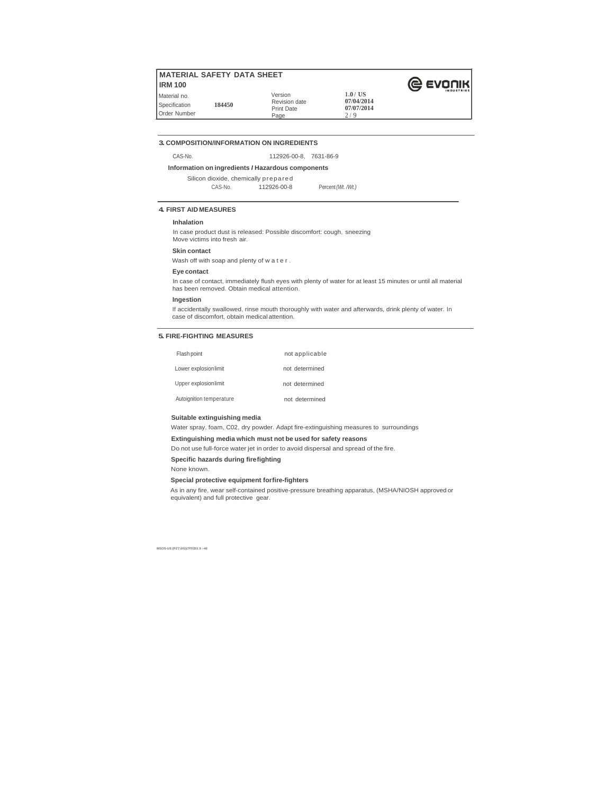| <b>IRM 100</b>                                |        |                                                |                                             | @ EVONIK<br>INDUSTRIES |
|-----------------------------------------------|--------|------------------------------------------------|---------------------------------------------|------------------------|
| Material no.<br>Specification<br>Order Number | 184450 | Version<br>Revision date<br>Print Date<br>Page | 1.0 / US<br>07/04/2014<br>07/07/2014<br>21Q |                        |

### **3. COMPOSITION/INFORMATION ON INGREDIENTS**

CAS-No. 112926-00-8, 7631-86-9

**Information on ingredients** *I* **Hazardous components**

Silicon dioxide, chemically prepared

CAS-No. 112926-00-8 Percent*(Wt. /Wt.)*

### **4. FIRST AID MEASURES**

### **Inhalation**

In case product dust is released: Possible discomfort: cough, sneezing Move victims into fresh air.

#### **Skin contact**

Wash off with soap and plenty of w a t e r.

#### **Eye contact**

In case of contact, immediately flush eyes with plenty of water for at least 15 minutes or until all material has been removed. Obtain medical attention.

### **Ingestion**

If accidentally swallowed, rinse mouth thoroughly with water and afterwards, drink plenty of water. In case of discomfort, obtain medical attention.

### **5. FIRE-FIGHTING MEASURES**

| Flash point              | not applicable |
|--------------------------|----------------|
| Lower explosion limit    | not determined |
| Upper explosion limit    | not determined |
| Autoignition temperature | not determined |

### **Suitable extinguishing media**

Water spray, foam, C02, dry powder. Adapt fire-extinguishing measures to surroundings

#### **Extinguishing media which must not be used for safety reasons**

Do not use full-force water jet in order to avoid dispersal and spread of the fire.

### **Specific hazards during firefighting**

None known.

### **Special protective equipment forfire-fighters**

As in any fire, wear self-contained positive-pressure breathing apparatus, (MSHA/NIOSH approved or equivalent) and full protective gear.

**MSOS-US (P2'7.001)/7f7/201 9 :-40**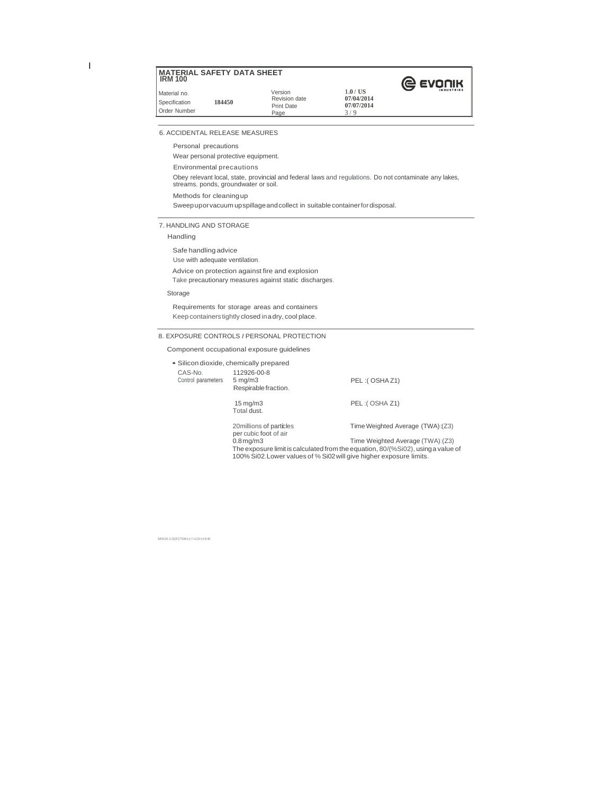| MAI ERIAL SAFEII DA I A SHEEI<br><b>IRM 100</b> |        |                                                | @ EVONIK                                  |                   |
|-------------------------------------------------|--------|------------------------------------------------|-------------------------------------------|-------------------|
| Material no.<br>Specification<br>Order Number   | 184450 | Version<br>Revision date<br>Print Date<br>Page | 1.0/US<br>07/04/2014<br>07/07/2014<br>3/9 | <b>INDUSTRIES</b> |

6. ACCIDENTAL RELEASE MEASURES

Personal precautions Wear personal protective equipment. Environmental precautions Obey relevant local, state, provincial and federal laws and regulations. Do not contaminate any lakes, streams, ponds, groundwater or soil. Methods for cleaningup Sweep uporvacuum upspillage and collect in suitable container for disposal.

7. HANDLING AND STORAGE

### Handling

I

Safe handling advice Use with adequate ventilation. Advice on protection against fire and explosion Take precautionary measures against static discharges.

Storage

Requirements for storage areas and containers Keep containerstightly closed inadry, cool place.

### 8. EXPOSURE CONTROLS *I* PERSONAL PROTECTION

Component occupational exposure guidelines

|                               | • Silicon dioxide, chemically prepared                                                                                                                  |                                   |  |
|-------------------------------|---------------------------------------------------------------------------------------------------------------------------------------------------------|-----------------------------------|--|
| CAS-No.<br>Control parameters | 112926-00-8<br>$5 \text{ mg/m}$ 3<br>Respirable fraction.                                                                                               | PEL: (OSHAZ1)                     |  |
|                               | $15 \,\mathrm{mq/m}$<br>Total dust.                                                                                                                     | PEL: (OSHA Z1)                    |  |
|                               | 20millions of particles<br>per cubic foot of air                                                                                                        | Time Weighted Average (TWA):(Z3)  |  |
|                               | $0.8$ mg/m $3$                                                                                                                                          | Time Weighted Average (TWA): (Z3) |  |
|                               | The exposure limit is calculated from the equation, 80/(%Si02), using a value of<br>100% Si02. Lower values of % Si02 will give higher exposure limits. |                                   |  |

MSOS.US(P27I001)f7nf20149:40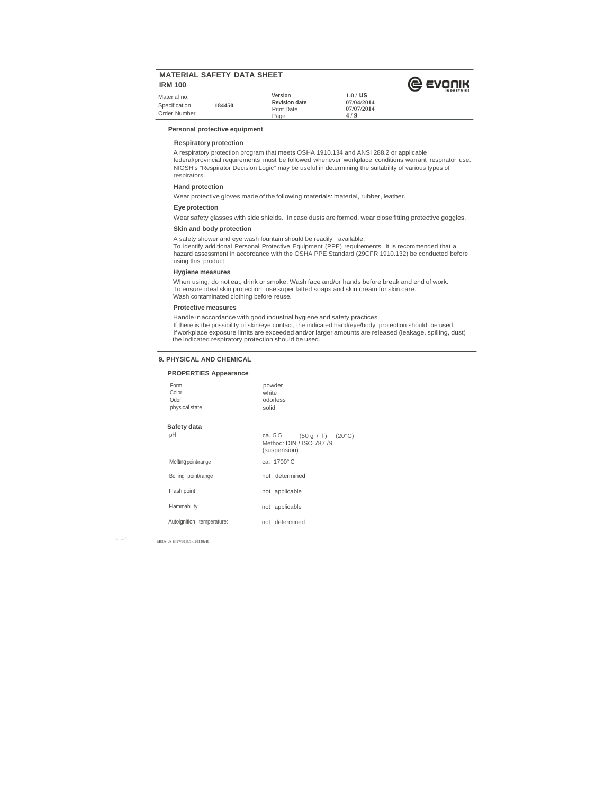### **IRM 100**

| Material no.<br>Specification<br>Order Number | 184450 | Version<br><b>Revision date</b><br>Print Date<br>Page | 1.0/US<br>07/04/2014<br>07/07/2014<br>4/9 |
|-----------------------------------------------|--------|-------------------------------------------------------|-------------------------------------------|
|                                               |        |                                                       |                                           |

**@ EVONIK** 

**4 / 9**



#### **Respiratory protection**

A respiratory protection program that meets OSHA 1910.134 and ANSI 288.2 or applicable federal/provincial requirements must be followed whenever workplace conditions warrant respirator use. NIOSH's "Respirator Decision Logic" may be useful in determining the suitability of various types of respirators.

#### **Hand protection**

Wear protective gloves made of the following materials: material, rubber, leather.

#### **Eye protection**

Wear safety glasses with side shields. In case dusts are formed, wear close fitting protective goggles.

### **Skin and body protection**

A safety shower and eye wash fountain should be readily available.

To identify additional Personal Protective Equipment (PPE) requirements. It is recommended that a hazard assessment in accordance with the OSHA PPE Standard (29CFR 1910.132) be conducted before using this product.

#### **Hygiene measures**

When using, do not eat, drink or smoke. Wash face and/or hands before break and end of work. To ensure ideal skin protection: use super fatted soaps and skin cream for skin care. Wash contaminated clothing before reuse.

#### **Protective measures**

Handle in accordance with good industrial hygiene and safety practices. If there is the possibility of skin/eye contact, the indicated hand/eye/body protection should be used. Ifworkplace exposure limits are exceeded and/or larger amounts are released (leakage, spilling, dust) the indicated respiratory protection should be used.

### **9. PHYSICAL AND CHEMICAL**

#### **PROPERTIES Appearance**

| powder   |
|----------|
| white    |
| odorless |
| solid    |
|          |

solid

# **Safety data**

pH ca. 5.5 (50 g / l) (20°C) Method: DIN / ISO 787 /9 (suspension) Melting point/range ca. 1700°C Boiling point/range not determined Flash point not applicable Flammability not applicable

Autoignition temperature: not determined

'-..--'" **MSOS-US (P27/001)/7nl20149:40**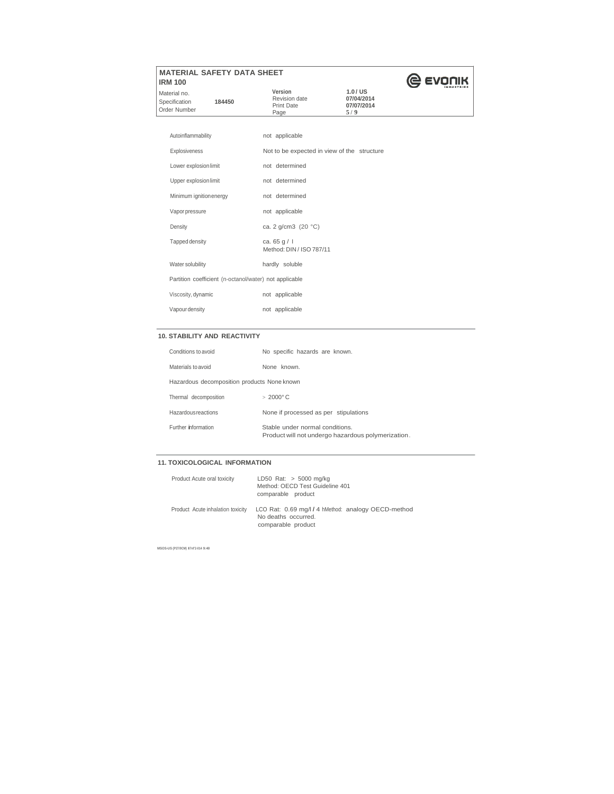| <b>MATERIAL SAFETY DATA SHEET</b><br><b>IRM 100</b> |                   |            | @ EVONIK   |
|-----------------------------------------------------|-------------------|------------|------------|
| Material no.                                        | Version           | 1.0/US     | INDUSTRIES |
| 184450                                              | Revision date     | 07/04/2014 |            |
| Specification                                       | <b>Print Date</b> | 07/07/2014 |            |
| Order Number                                        | Page              | 5/9        |            |

| Autoinflammability                                     | not applicable                              |
|--------------------------------------------------------|---------------------------------------------|
| <b>Explosiveness</b>                                   | Not to be expected in view of the structure |
| Lower explosion limit                                  | not determined                              |
| Upper explosion limit                                  | not determined                              |
| Minimum ignition energy                                | not determined                              |
| Vaporpressure                                          | not applicable                              |
| Density                                                | ca. 2 g/cm3 (20 °C)                         |
| Tapped density                                         | ca. $65 g / I$<br>Method: DIN / ISO 787/11  |
| Water solubility                                       | hardly soluble                              |
| Partition coefficient (n-octanol/water) not applicable |                                             |
| Viscosity, dynamic                                     | not applicable                              |
| Vapour density                                         | not applicable                              |

### **10. STABILITY AND REACTIVITY**

| Conditions to avoid                         | No specific hazards are known.                                                        |
|---------------------------------------------|---------------------------------------------------------------------------------------|
| Materials to avoid                          | None known                                                                            |
| Hazardous decomposition products None known |                                                                                       |
| Thermal decomposition                       | $>2000^{\circ}$ C                                                                     |
| Hazardous reactions                         | None if processed as per stipulations                                                 |
| Further information                         | Stable under normal conditions.<br>Product will not undergo hazardous polymerization. |

### **11. TOXICOLOGICAL INFORMATION**

| Product Acute oral toxicity       | LD50 Rat: $> 5000$ mg/kg<br>Method: OECD Test Guideline 401<br>comparable product                |
|-----------------------------------|--------------------------------------------------------------------------------------------------|
| Product Acute inhalation toxicity | LCO Rat: 0.69 mg/l / 4 hMethod: analogy OECD-method<br>No deaths occurred.<br>comparable product |

**MSOS-US {P27/0CM) I7nf'2-014 9:40**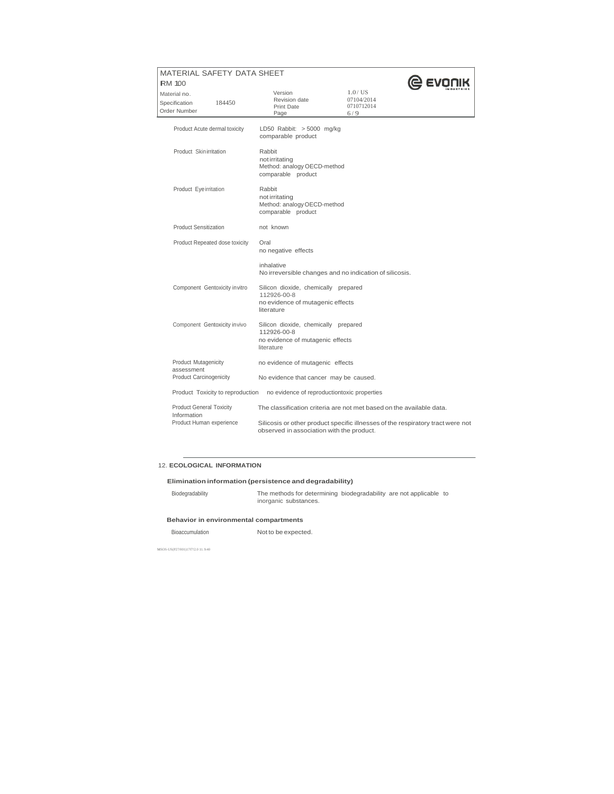#### MATERIAL SAFETY DATA SHEET **@** EVONIK IRM <sup>100</sup> Material no. 1.0 / US version 1.0 / US 184450 Revision date Print Date 07104/2014 0710712014 Specification Order Number Page  $6/9$ Product Acute dermal toxicity LD50 Rabbit: > 5000 mg/kg comparable product Product Skinirritation Rabbit notirritating Method: analogy OECD-method comparable product Product Eyeirritation Rabbit not irritating Method: analogyOECD-method comparable product Product Sensitization not known Product Repeated dose toxicity Oral no negative effects inhalative No irreversible changes and no indication of silicosis. Component Gentoxicity invitro Silicon dioxide, chemically prepared 112926-00-8 no evidence of mutagenic effects literature Component Gentoxicity invivo Silicon dioxide, chemically prepared 112926-00-8 no evidence of mutagenic effects literature Product Mutagenicity no evidence of mutagenic effects assessment Product Carcinogenicity No evidence that cancer may be caused. Product Toxicity to reproduction no evidence of reproductiontoxic properties Product General Toxicity The classification criteria are not met based on the available data. Information Product Human experience Silicosis or other product specific illnesses of the respiratory tract were not observed in association with the product.

### 12. **ECOLOGICAL INFORMATION**

#### **Elimination information (persistence and degradability)**

Biodegradability The methods for determining biodegradability are not applicable to inorganic substances.

#### **Behavior in environmental compartments**

| <b>Bioaccumulation</b> | Not to be expected. |
|------------------------|---------------------|

MSOS-US(P27/001)17f7!2.0 11. 9:40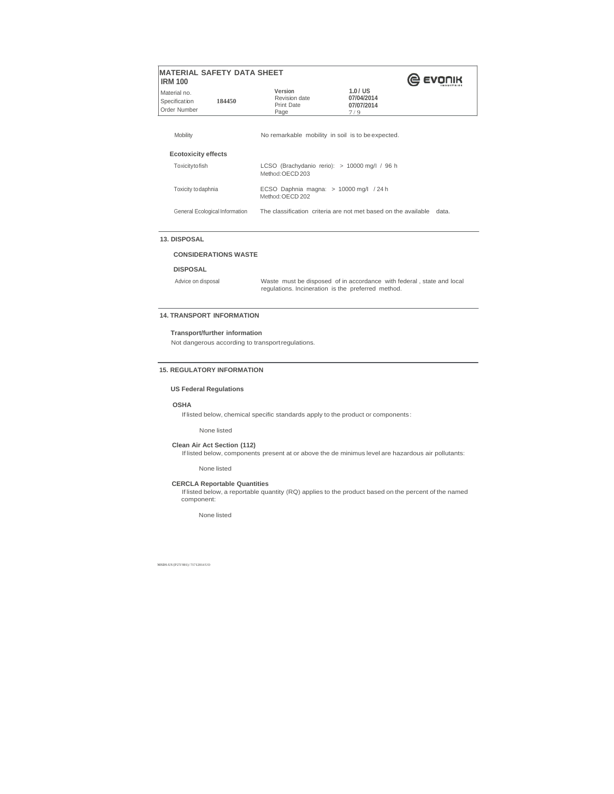#### **MATERIAL SAFETY DATA SHEET @** EVONIK **IRM 100 1.0 / US**  Material no. **Version 07/04/2014**  Revision date Print Date **184450** Specification **07/07/2014** Order Number

Page

| Mobility                       | No remarkable mobility in soil is to be expected.                       |
|--------------------------------|-------------------------------------------------------------------------|
| <b>Ecotoxicity effects</b>     |                                                                         |
| Toxicity to fish               | LCSO (Brachydanio rerio): $> 10000$ mg/l / 96 h<br>Method: OECD 203     |
| Toxicity todaphnia             | ECSO Daphnia magna: > 10000 mg/l / 24 h<br>Method: OECD 202             |
| General Ecological Information | The classification criteria are not met based on the available<br>data. |

#### **13. DISPOSAL**

### **CONSIDERATIONS WASTE**

### **DISPOSAL**

Advice on disposal Waste must be disposed of in accordance with federal , state and local regulations. Incineration is the preferred method.

 $7/9$ 

### **14. TRANSPORT INFORMATION**

#### **Transport/further information**

Not dangerous according to transportregulations.

### **15. REGULATORY INFORMATION**

### **US Federal Regulations**

#### **OSHA**

If listed below, chemical specific standards apply to the product or components:

None listed

#### **Clean Air Act Section (112)**

If listed below, components present at or above the de minimus level are hazardous air pollutants:

None listed

### **CERCLA Reportable Quantities**

If listed below, a reportable quantity (RQ) applies to the product based on the percent of the named component:

None listed

**MSDS-US {P27i'001)/ 71712014 UO**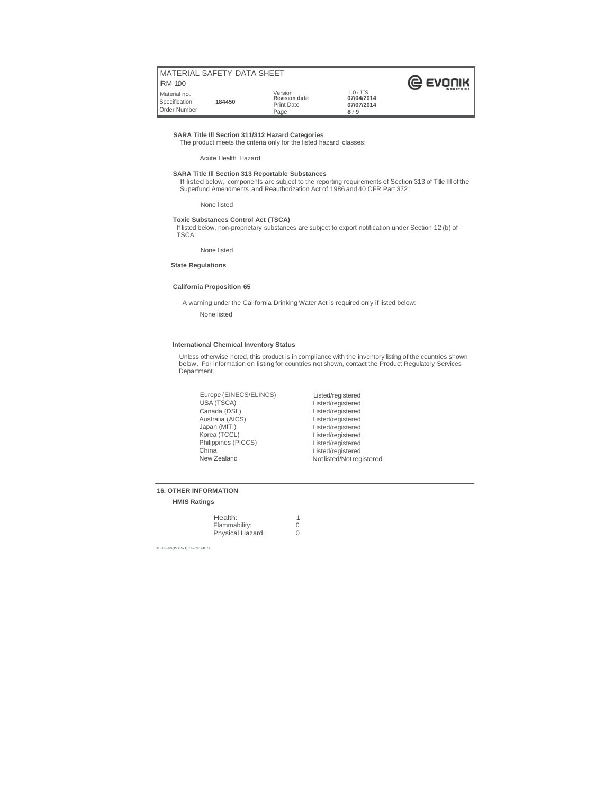| <b>RM 100</b>                                 | MAILRIAL SAFEIY DATA SHEET |                                                       |                                              | @ EVONIK<br>INDUSTRIES. |
|-----------------------------------------------|----------------------------|-------------------------------------------------------|----------------------------------------------|-------------------------|
| Material no.<br>Specification<br>Order Number | 184450                     | Version<br><b>Revision date</b><br>Print Date<br>Page | $1.0/$ US<br>07/04/2014<br>07/07/2014<br>8/9 |                         |

#### **SARA Title Ill Section 311/312 Hazard Categories**

The product meets the criteria only for the listed hazard classes:

Acute Health Hazard

### **SARA Title Ill Section 313 Reportable Substances**

If listed below, components are subject to the reporting requirements of Section <sup>313</sup> of Title Ill of the Superfund Amendments and Reauthorization Act of 1986 and 40 CFR Part 372:

None listed

### **Toxic Substances Control Act (TSCA)**

If listed below, non-proprietary substances are subject to export notification under Section 12 (b) of TSCA:

None listed

### **State Regulations**

### **California Proposition 65**

A warning under the California Drinking Water Act is required only if listed below:

None listed

#### **International Chemical Inventory Status**

Unless otherwise noted, this product is in compliance with the inventory listing of the countries shown<br>below. For information on listing for countries not shown, contact the Product Regulatory Services<br>Department.

| Europe (EINECS/ELINCS) |
|------------------------|
| USA (TSCA)             |
| Canada (DSL)           |
| Australia (AICS)       |
| Japan (MITI)           |
| Korea (TCCL)           |
| Philippines (PICCS)    |
| China                  |
| New Zealand            |

Listed/registered Listed/registered Listed/registered Listed/registered Listed/registered Listed/registered Listed/registered Listed/registered Notlisted/Notregistered

### **16. OTHER INFORMATION**

### **HMIS Ratings**

| Health:          |   |
|------------------|---|
| Flammability:    | n |
| Physical Hazard: | ∩ |

**MSDS-US(P27tW1) 17n/2014IUO**